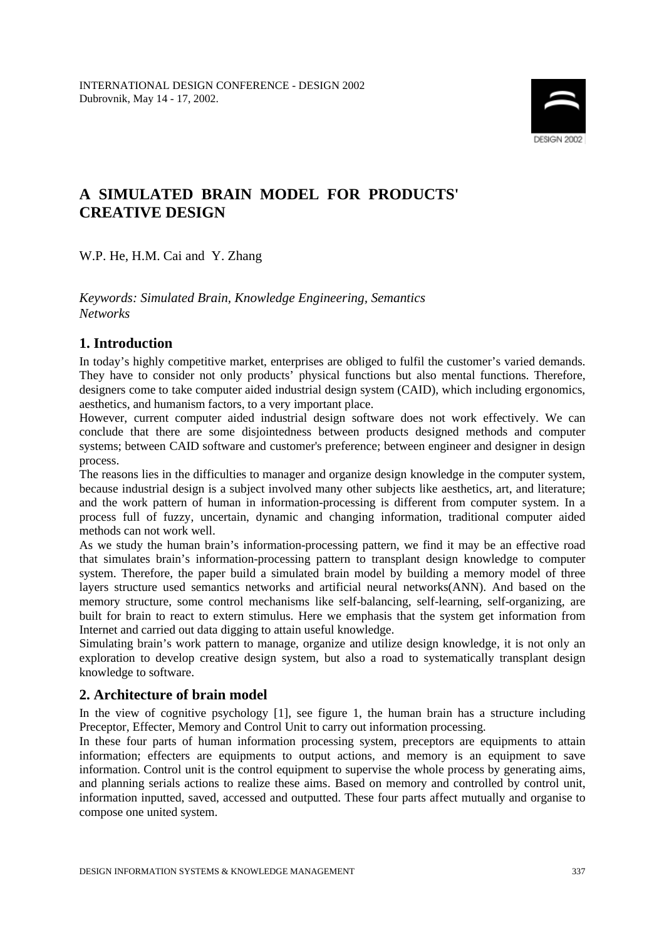

# **A SIMULATED BRAIN MODEL FOR PRODUCTS' CREATIVE DESIGN**

W.P. He, H.M. Cai and Y. Zhang

*Keywords: Simulated Brain, Knowledge Engineering, Semantics Networks*

## **1. Introduction**

In today's highly competitive market, enterprises are obliged to fulfil the customer's varied demands. They have to consider not only products' physical functions but also mental functions. Therefore, designers come to take computer aided industrial design system (CAID), which including ergonomics, aesthetics, and humanism factors, to a very important place.

However, current computer aided industrial design software does not work effectively. We can conclude that there are some disjointedness between products designed methods and computer systems; between CAID software and customer's preference; between engineer and designer in design process.

The reasons lies in the difficulties to manager and organize design knowledge in the computer system, because industrial design is a subject involved many other subjects like aesthetics, art, and literature; and the work pattern of human in information-processing is different from computer system. In a process full of fuzzy, uncertain, dynamic and changing information, traditional computer aided methods can not work well.

As we study the human brain's information-processing pattern, we find it may be an effective road that simulates brain's information-processing pattern to transplant design knowledge to computer system. Therefore, the paper build a simulated brain model by building a memory model of three layers structure used semantics networks and artificial neural networks(ANN). And based on the memory structure, some control mechanisms like self-balancing, self-learning, self-organizing, are built for brain to react to extern stimulus. Here we emphasis that the system get information from Internet and carried out data digging to attain useful knowledge.

Simulating brain's work pattern to manage, organize and utilize design knowledge, it is not only an exploration to develop creative design system, but also a road to systematically transplant design knowledge to software.

# **2. Architecture of brain model**

In the view of cognitive psychology [1], see figure 1, the human brain has a structure including Preceptor, Effecter, Memory and Control Unit to carry out information processing.

In these four parts of human information processing system, preceptors are equipments to attain information; effecters are equipments to output actions, and memory is an equipment to save information. Control unit is the control equipment to supervise the whole process by generating aims, and planning serials actions to realize these aims. Based on memory and controlled by control unit, information inputted, saved, accessed and outputted. These four parts affect mutually and organise to compose one united system.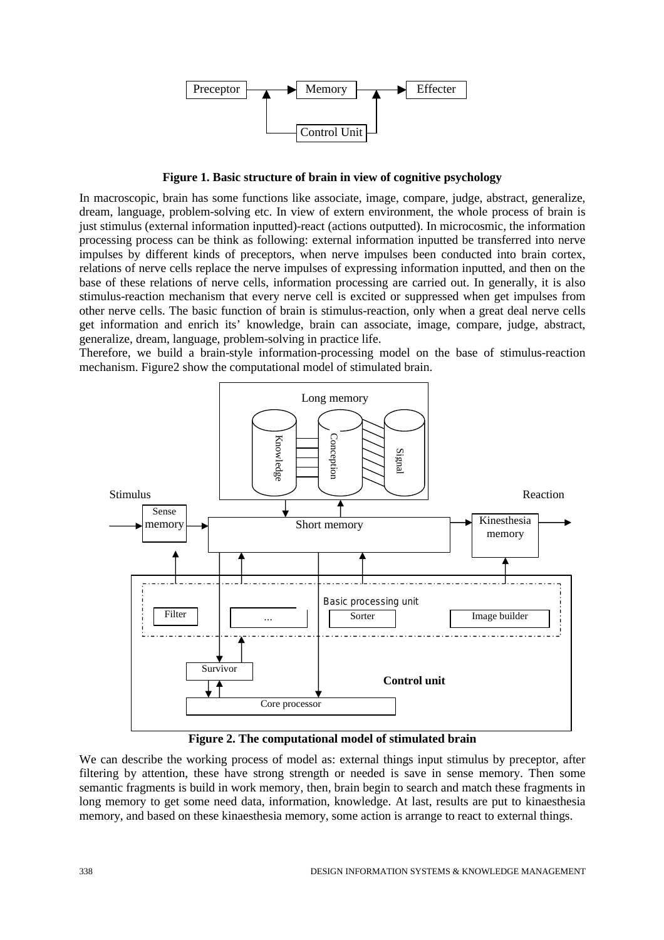

**Figure 1. Basic structure of brain in view of cognitive psychology**

In macroscopic, brain has some functions like associate, image, compare, judge, abstract, generalize, dream, language, problem-solving etc. In view of extern environment, the whole process of brain is just stimulus (external information inputted)-react (actions outputted). In microcosmic, the information processing process can be think as following: external information inputted be transferred into nerve impulses by different kinds of preceptors, when nerve impulses been conducted into brain cortex, relations of nerve cells replace the nerve impulses of expressing information inputted, and then on the base of these relations of nerve cells, information processing are carried out. In generally, it is also stimulus-reaction mechanism that every nerve cell is excited or suppressed when get impulses from other nerve cells. The basic function of brain is stimulus-reaction, only when a great deal nerve cells get information and enrich its' knowledge, brain can associate, image, compare, judge, abstract, generalize, dream, language, problem-solving in practice life.

Therefore, we build a brain-style information-processing model on the base of stimulus-reaction mechanism. Figure2 show the computational model of stimulated brain.



**Figure 2. The computational model of stimulated brain**

We can describe the working process of model as: external things input stimulus by preceptor, after filtering by attention, these have strong strength or needed is save in sense memory. Then some semantic fragments is build in work memory, then, brain begin to search and match these fragments in long memory to get some need data, information, knowledge. At last, results are put to kinaesthesia memory, and based on these kinaesthesia memory, some action is arrange to react to external things.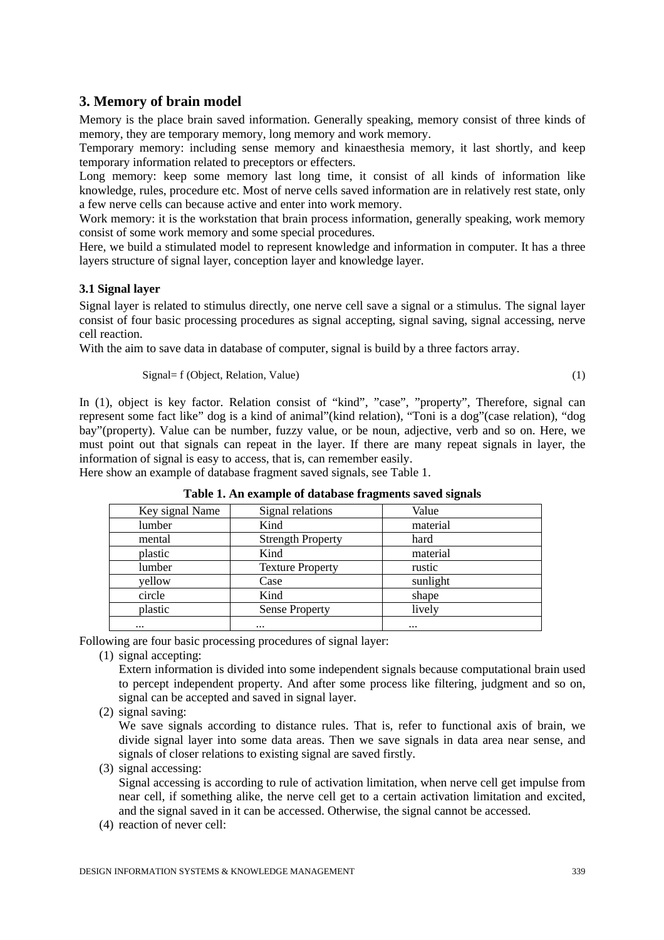### **3. Memory of brain model**

Memory is the place brain saved information. Generally speaking, memory consist of three kinds of memory, they are temporary memory, long memory and work memory.

Temporary memory: including sense memory and kinaesthesia memory, it last shortly, and keep temporary information related to preceptors or effecters.

Long memory: keep some memory last long time, it consist of all kinds of information like knowledge, rules, procedure etc. Most of nerve cells saved information are in relatively rest state, only a few nerve cells can because active and enter into work memory.

Work memory: it is the workstation that brain process information, generally speaking, work memory consist of some work memory and some special procedures.

Here, we build a stimulated model to represent knowledge and information in computer. It has a three layers structure of signal layer, conception layer and knowledge layer.

#### **3.1 Signal layer**

Signal layer is related to stimulus directly, one nerve cell save a signal or a stimulus. The signal layer consist of four basic processing procedures as signal accepting, signal saving, signal accessing, nerve cell reaction.

With the aim to save data in database of computer, signal is build by a three factors array.

$$
Signal = f (Object, Relation, Value)
$$
\n
$$
(1)
$$

In (1), object is key factor. Relation consist of "kind", "case", "property", Therefore, signal can represent some fact like" dog is a kind of animal"(kind relation), "Toni is a dog"(case relation), "dog bay"(property). Value can be number, fuzzy value, or be noun, adjective, verb and so on. Here, we must point out that signals can repeat in the layer. If there are many repeat signals in layer, the information of signal is easy to access, that is, can remember easily.

Here show an example of database fragment saved signals, see Table 1.

| Key signal Name | Signal relations         | Value    |
|-----------------|--------------------------|----------|
| lumber          | Kind                     | material |
| mental          | <b>Strength Property</b> | hard     |
| plastic         | Kind                     | material |
| lumber          | <b>Texture Property</b>  | rustic   |
| yellow          | Case                     | sunlight |
| circle          | Kind                     | shape    |
| plastic         | <b>Sense Property</b>    | lively   |
| $\cdots$        | $\cdots$                 | $\cdots$ |

**Table 1. An example of database fragments saved signals** 

Following are four basic processing procedures of signal layer:

(1) signal accepting:

Extern information is divided into some independent signals because computational brain used to percept independent property. And after some process like filtering, judgment and so on, signal can be accepted and saved in signal layer.

(2) signal saving:

We save signals according to distance rules. That is, refer to functional axis of brain, we divide signal layer into some data areas. Then we save signals in data area near sense, and signals of closer relations to existing signal are saved firstly.

(3) signal accessing:

Signal accessing is according to rule of activation limitation, when nerve cell get impulse from near cell, if something alike, the nerve cell get to a certain activation limitation and excited, and the signal saved in it can be accessed. Otherwise, the signal cannot be accessed.

(4) reaction of never cell: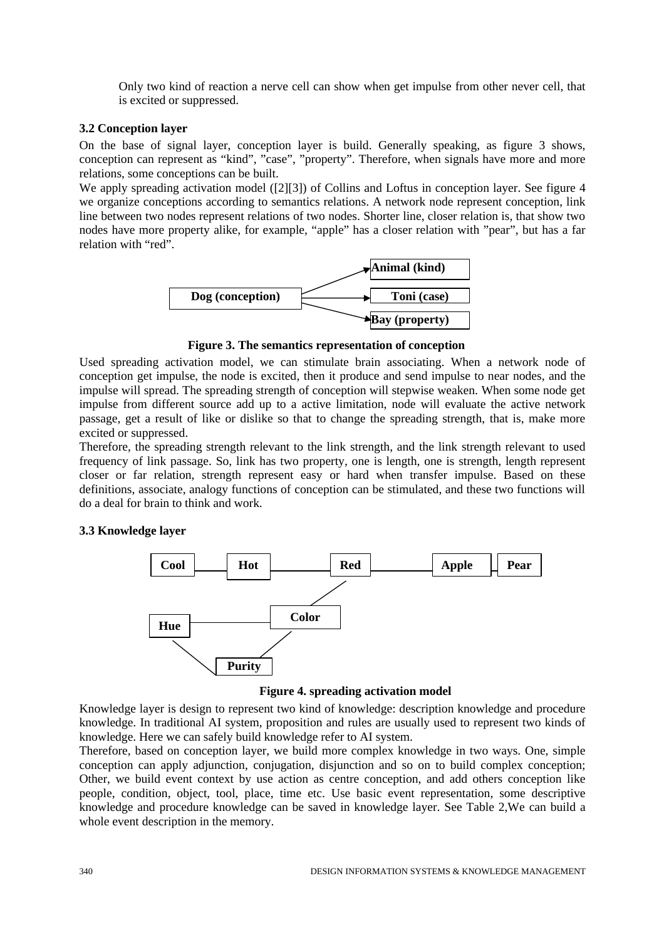Only two kind of reaction a nerve cell can show when get impulse from other never cell, that is excited or suppressed.

#### **3.2 Conception layer**

On the base of signal layer, conception layer is build. Generally speaking, as figure 3 shows, conception can represent as "kind", "case", "property". Therefore, when signals have more and more relations, some conceptions can be built.

We apply spreading activation model ([2][3]) of Collins and Loftus in conception layer. See figure 4 we organize conceptions according to semantics relations. A network node represent conception, link line between two nodes represent relations of two nodes. Shorter line, closer relation is, that show two nodes have more property alike, for example, "apple" has a closer relation with "pear", but has a far relation with "red".



**Figure 3. The semantics representation of conception**

Used spreading activation model, we can stimulate brain associating. When a network node of conception get impulse, the node is excited, then it produce and send impulse to near nodes, and the impulse will spread. The spreading strength of conception will stepwise weaken. When some node get impulse from different source add up to a active limitation, node will evaluate the active network passage, get a result of like or dislike so that to change the spreading strength, that is, make more excited or suppressed.

Therefore, the spreading strength relevant to the link strength, and the link strength relevant to used frequency of link passage. So, link has two property, one is length, one is strength, length represent closer or far relation, strength represent easy or hard when transfer impulse. Based on these definitions, associate, analogy functions of conception can be stimulated, and these two functions will do a deal for brain to think and work.

### **3.3 Knowledge layer**



#### **Figure 4. spreading activation model**

Knowledge layer is design to represent two kind of knowledge: description knowledge and procedure knowledge. In traditional AI system, proposition and rules are usually used to represent two kinds of knowledge. Here we can safely build knowledge refer to AI system.

Therefore, based on conception layer, we build more complex knowledge in two ways. One, simple conception can apply adjunction, conjugation, disjunction and so on to build complex conception; Other, we build event context by use action as centre conception, and add others conception like people, condition, object, tool, place, time etc. Use basic event representation, some descriptive knowledge and procedure knowledge can be saved in knowledge layer. See Table 2,We can build a whole event description in the memory.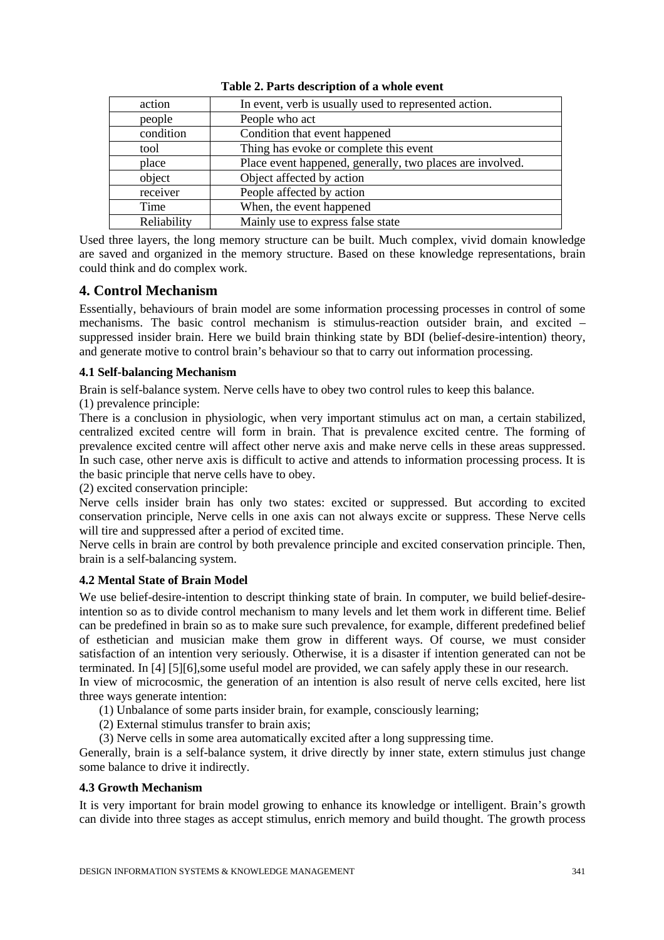| action      | In event, verb is usually used to represented action.     |  |
|-------------|-----------------------------------------------------------|--|
| people      | People who act                                            |  |
| condition   | Condition that event happened                             |  |
| tool        | Thing has evoke or complete this event                    |  |
| place       | Place event happened, generally, two places are involved. |  |
| object      | Object affected by action                                 |  |
| receiver    | People affected by action                                 |  |
| Time        | When, the event happened                                  |  |
| Reliability | Mainly use to express false state                         |  |

#### **Table 2. Parts description of a whole event**

Used three layers, the long memory structure can be built. Much complex, vivid domain knowledge are saved and organized in the memory structure. Based on these knowledge representations, brain could think and do complex work.

### **4. Control Mechanism**

Essentially, behaviours of brain model are some information processing processes in control of some mechanisms. The basic control mechanism is stimulus-reaction outsider brain, and excited – suppressed insider brain. Here we build brain thinking state by BDI (belief-desire-intention) theory, and generate motive to control brain's behaviour so that to carry out information processing.

### **4.1 Self-balancing Mechanism**

Brain is self-balance system. Nerve cells have to obey two control rules to keep this balance.

(1) prevalence principle:

There is a conclusion in physiologic, when very important stimulus act on man, a certain stabilized, centralized excited centre will form in brain. That is prevalence excited centre. The forming of prevalence excited centre will affect other nerve axis and make nerve cells in these areas suppressed. In such case, other nerve axis is difficult to active and attends to information processing process. It is the basic principle that nerve cells have to obey.

(2) excited conservation principle:

Nerve cells insider brain has only two states: excited or suppressed. But according to excited conservation principle, Nerve cells in one axis can not always excite or suppress. These Nerve cells will tire and suppressed after a period of excited time.

Nerve cells in brain are control by both prevalence principle and excited conservation principle. Then, brain is a self-balancing system.

### **4.2 Mental State of Brain Model**

We use belief-desire-intention to descript thinking state of brain. In computer, we build belief-desireintention so as to divide control mechanism to many levels and let them work in different time. Belief can be predefined in brain so as to make sure such prevalence, for example, different predefined belief of esthetician and musician make them grow in different ways. Of course, we must consider satisfaction of an intention very seriously. Otherwise, it is a disaster if intention generated can not be terminated. In [4] [5][6],some useful model are provided, we can safely apply these in our research.

In view of microcosmic, the generation of an intention is also result of nerve cells excited, here list three ways generate intention:

(1) Unbalance of some parts insider brain, for example, consciously learning;

(2) External stimulus transfer to brain axis;

(3) Nerve cells in some area automatically excited after a long suppressing time.

Generally, brain is a self-balance system, it drive directly by inner state, extern stimulus just change some balance to drive it indirectly.

### **4.3 Growth Mechanism**

It is very important for brain model growing to enhance its knowledge or intelligent. Brain's growth can divide into three stages as accept stimulus, enrich memory and build thought. The growth process